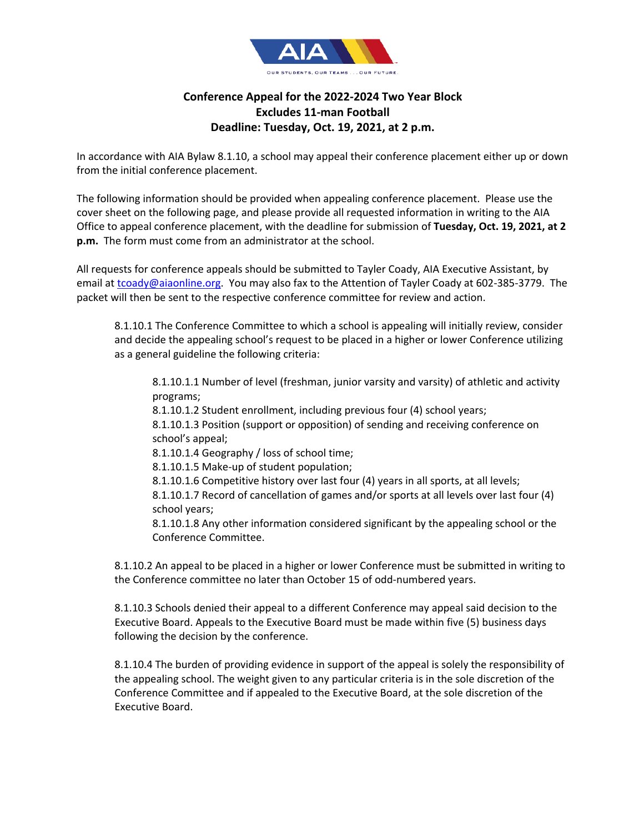

## **Conference Appeal for the 2022-2024 Two Year Block Excludes 11-man Football Deadline: Tuesday, Oct. 19, 2021, at 2 p.m.**

In accordance with AIA Bylaw 8.1.10, a school may appeal their conference placement either up or down from the initial conference placement.

The following information should be provided when appealing conference placement. Please use the cover sheet on the following page, and please provide all requested information in writing to the AIA Office to appeal conference placement, with the deadline for submission of **Tuesday, Oct. 19, 2021, at 2 p.m.** The form must come from an administrator at the school.

All requests for conference appeals should be submitted to Tayler Coady, AIA Executive Assistant, by email at tcoady@aiaonline.org. You may also fax to the Attention of Tayler Coady at 602-385-3779. The packet will then be sent to the respective conference committee for review and action.

8.1.10.1 The Conference Committee to which a school is appealing will initially review, consider and decide the appealing school's request to be placed in a higher or lower Conference utilizing as a general guideline the following criteria:

8.1.10.1.1 Number of level (freshman, junior varsity and varsity) of athletic and activity programs;

8.1.10.1.2 Student enrollment, including previous four (4) school years;

8.1.10.1.3 Position (support or opposition) of sending and receiving conference on school's appeal;

8.1.10.1.4 Geography / loss of school time;

8.1.10.1.5 Make-up of student population;

8.1.10.1.6 Competitive history over last four (4) years in all sports, at all levels; 8.1.10.1.7 Record of cancellation of games and/or sports at all levels over last four (4)

school years;

8.1.10.1.8 Any other information considered significant by the appealing school or the Conference Committee.

8.1.10.2 An appeal to be placed in a higher or lower Conference must be submitted in writing to the Conference committee no later than October 15 of odd-numbered years.

8.1.10.3 Schools denied their appeal to a different Conference may appeal said decision to the Executive Board. Appeals to the Executive Board must be made within five (5) business days following the decision by the conference.

8.1.10.4 The burden of providing evidence in support of the appeal is solely the responsibility of the appealing school. The weight given to any particular criteria is in the sole discretion of the Conference Committee and if appealed to the Executive Board, at the sole discretion of the Executive Board.